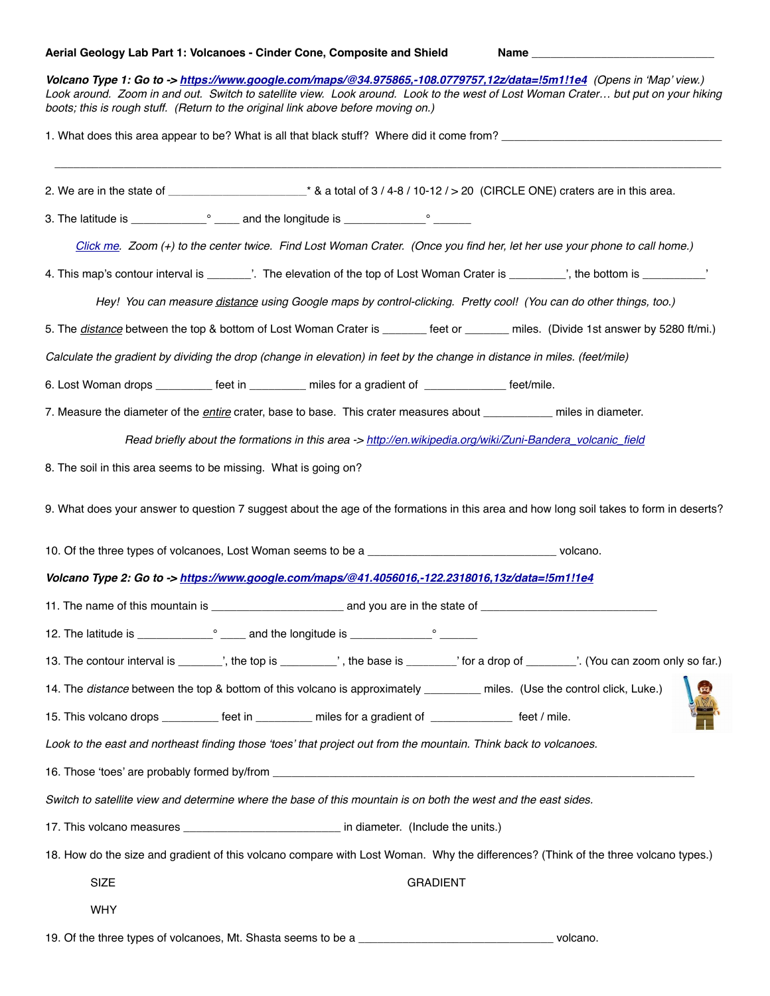## Aerial Geology Lab Part 1: Volcanoes - Cinder Cone, Composite and Shield Name **Name** Name

| Volcano Type 1: Go to -> https://www.google.com/maps/@34.975865,-108.0779757,12z/data=!5m1!1e4 (Opens in 'Map' view.)<br>Look around. Zoom in and out. Switch to satellite view. Look around. Look to the west of Lost Woman Crater but put on your hiking<br>boots; this is rough stuff. (Return to the original link above before moving on.) |
|-------------------------------------------------------------------------------------------------------------------------------------------------------------------------------------------------------------------------------------------------------------------------------------------------------------------------------------------------|
|                                                                                                                                                                                                                                                                                                                                                 |
|                                                                                                                                                                                                                                                                                                                                                 |
|                                                                                                                                                                                                                                                                                                                                                 |
| Click me. Zoom (+) to the center twice. Find Lost Woman Crater. (Once you find her, let her use your phone to call home.)                                                                                                                                                                                                                       |
| 4. This map's contour interval is ________'. The elevation of the top of Lost Woman Crater is _________', the bottom is __________'                                                                                                                                                                                                             |
| Hey! You can measure distance using Google maps by control-clicking. Pretty cool! (You can do other things, too.)                                                                                                                                                                                                                               |
| 5. The <i>distance</i> between the top & bottom of Lost Woman Crater is _______ feet or _______ miles. (Divide 1st answer by 5280 ft/mi.)                                                                                                                                                                                                       |
| Calculate the gradient by dividing the drop (change in elevation) in feet by the change in distance in miles. (feet/mile)                                                                                                                                                                                                                       |
| 6. Lost Woman drops __________ feet in _________ miles for a gradient of _____________ feet/mile.                                                                                                                                                                                                                                               |
| 7. Measure the diameter of the <i>entire</i> crater, base to base. This crater measures about __________ miles in diameter.                                                                                                                                                                                                                     |
| Read briefly about the formations in this area -> http://en.wikipedia.org/wiki/Zuni-Bandera_volcanic_field                                                                                                                                                                                                                                      |
| 8. The soil in this area seems to be missing. What is going on?                                                                                                                                                                                                                                                                                 |
| 9. What does your answer to question 7 suggest about the age of the formations in this area and how long soil takes to form in deserts?                                                                                                                                                                                                         |
|                                                                                                                                                                                                                                                                                                                                                 |
| Volcano Type 2: Go to -> https://www.google.com/maps/@41.4056016,-122.2318016,13z/data=!5m1!1e4                                                                                                                                                                                                                                                 |
| 11. The name of this mountain is example and you are in the state of                                                                                                                                                                                                                                                                            |
|                                                                                                                                                                                                                                                                                                                                                 |
| 13. The contour interval is ________, the top is __________, the base is ________, for a drop of _______. (You can zoom only so far.)                                                                                                                                                                                                           |
| 14. The distance between the top & bottom of this volcano is approximately _________ miles. (Use the control click, Luke.)                                                                                                                                                                                                                      |
| 15. This volcano drops _________ feet in _________ miles for a gradient of _____________ feet / mile.                                                                                                                                                                                                                                           |
| Look to the east and northeast finding those 'toes' that project out from the mountain. Think back to volcanoes.                                                                                                                                                                                                                                |
|                                                                                                                                                                                                                                                                                                                                                 |
| Switch to satellite view and determine where the base of this mountain is on both the west and the east sides.                                                                                                                                                                                                                                  |
|                                                                                                                                                                                                                                                                                                                                                 |
| 18. How do the size and gradient of this volcano compare with Lost Woman. Why the differences? (Think of the three volcano types.)                                                                                                                                                                                                              |
| <b>SIZE</b><br><b>GRADIENT</b>                                                                                                                                                                                                                                                                                                                  |
| <b>WHY</b>                                                                                                                                                                                                                                                                                                                                      |

19. Of the three types of volcanoes, Mt. Shasta seems to be a \_\_\_\_\_\_\_\_\_\_\_\_\_\_\_\_\_\_\_\_\_\_\_\_\_\_\_\_\_\_\_ volcano.